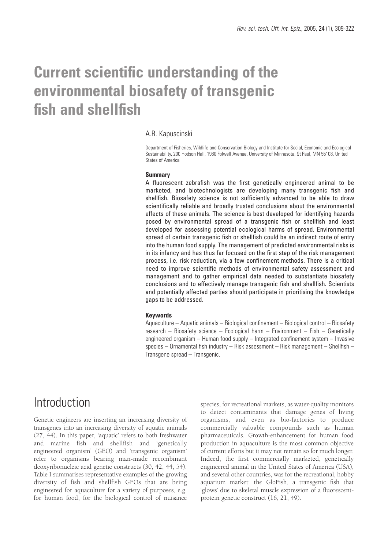# **Current scientific understanding of the environmental biosafety of transgenic fish and shellfish**

#### A.R. Kapuscinski

Department of Fisheries, Wildlife and Conservation Biology and Institute for Social, Economic and Ecological Sustainability, 200 Hodson Hall, 1980 Folwell Avenue, University of Minnesota, St Paul, MN 55108, United States of America

#### **Summary**

A fluorescent zebrafish was the first genetically engineered animal to be marketed, and biotechnologists are developing many transgenic fish and shellfish. Biosafety science is not sufficiently advanced to be able to draw scientifically reliable and broadly trusted conclusions about the environmental effects of these animals. The science is best developed for identifying hazards posed by environmental spread of a transgenic fish or shellfish and least developed for assessing potential ecological harms of spread. Environmental spread of certain transgenic fish or shellfish could be an indirect route of entry into the human food supply. The management of predicted environmental risks is in its infancy and has thus far focused on the first step of the risk management process, i.e. risk reduction, via a few confinement methods. There is a critical need to improve scientific methods of environmental safety assessment and management and to gather empirical data needed to substantiate biosafety conclusions and to effectively manage transgenic fish and shellfish. Scientists and potentially affected parties should participate in prioritising the knowledge gaps to be addressed.

#### **Keywords**

Aquaculture – Aquatic animals – Biological confinement – Biological control – Biosafety research – Biosafety science – Ecological harm – Environment – Fish – Genetically engineered organism – Human food supply – Integrated confinement system – Invasive species – Ornamental fish industry – Risk assessment – Risk management – Shellfish – Transgene spread – Transgenic.

### **Introduction**

Genetic engineers are inserting an increasing diversity of transgenes into an increasing diversity of aquatic animals (27, 44). In this paper, 'aquatic' refers to both freshwater and marine fish and shellfish and 'genetically engineered organism' (GEO) and 'transgenic organism' refer to organisms bearing man-made recombinant deoxyribonucleic acid genetic constructs (30, 42, 44, 54). Table I summarises representative examples of the growing diversity of fish and shellfish GEOs that are being engineered for aquaculture for a variety of purposes, e.g. for human food, for the biological control of nuisance

species, for recreational markets, as water-quality monitors to detect contaminants that damage genes of living organisms, and even as bio-factories to produce commercially valuable compounds such as human pharmaceuticals. Growth-enhancement for human food production in aquaculture is the most common objective of current efforts but it may not remain so for much longer. Indeed, the first commercially marketed, genetically engineered animal in the United States of America (USA), and several other countries, was for the recreational, hobby aquarium market: the GloFish, a transgenic fish that 'glows' due to skeletal muscle expression of a fluorescentprotein genetic construct (16, 21, 49).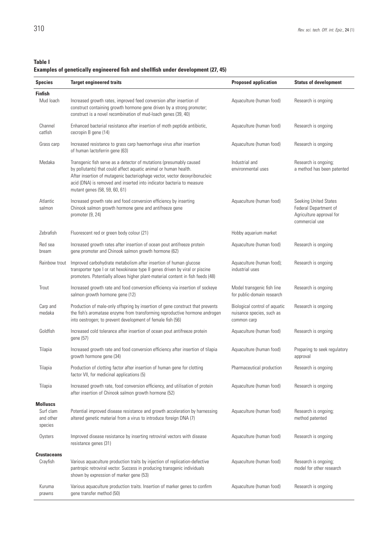#### **Table I**

#### **Examples of genetically engineered fish and shellfish under development (27, 45)**

| <b>Species</b>                                       | <b>Target engineered traits</b>                                                                                                                                                                                                                                                                                                 | <b>Proposed application</b>                                               | <b>Status of development</b>                                                                 |
|------------------------------------------------------|---------------------------------------------------------------------------------------------------------------------------------------------------------------------------------------------------------------------------------------------------------------------------------------------------------------------------------|---------------------------------------------------------------------------|----------------------------------------------------------------------------------------------|
| <b>Finfish</b><br>Mud loach                          | Increased growth rates, improved feed conversion after insertion of<br>construct containing growth hormone gene driven by a strong promoter;<br>construct is a novel recombination of mud-loach genes (39, 40)                                                                                                                  | Aquaculture (human food)                                                  | Research is ongoing                                                                          |
| Channel<br>catfish                                   | Enhanced bacterial resistance after insertion of moth peptide antibiotic,<br>cecropin B gene (14)                                                                                                                                                                                                                               | Aquaculture (human food)                                                  | Research is ongoing                                                                          |
| Grass carp                                           | Increased resistance to grass carp haemorrhage virus after insertion<br>Aquaculture (human food)<br>of human lactoferrin gene (63)                                                                                                                                                                                              |                                                                           | Research is ongoing                                                                          |
| Medaka                                               | Transgenic fish serve as a detector of mutations (presumably caused<br>by pollutants) that could affect aquatic animal or human health.<br>After insertion of mutagenic bacteriophage vector, vector deoxyribonucleic<br>acid (DNA) is removed and inserted into indicator bacteria to measure<br>mutant genes (58, 59, 60, 61) | Industrial and<br>environmental uses                                      | Research is ongoing;<br>a method has been patented                                           |
| Atlantic<br>salmon                                   | Increased growth rate and food conversion efficiency by inserting<br>Chinook salmon growth hormone gene and antifreeze gene<br>promoter (9, 24)                                                                                                                                                                                 | Aquaculture (human food)                                                  | Seeking United States<br>Federal Department of<br>Agriculture approval for<br>commercial use |
| Zebrafish                                            | Fluorescent red or green body colour (21)                                                                                                                                                                                                                                                                                       | Hobby aquarium market                                                     |                                                                                              |
| Red sea<br>bream                                     | Increased growth rates after insertion of ocean pout antifreeze protein<br>gene promoter and Chinook salmon growth hormone (62)                                                                                                                                                                                                 | Aquaculture (human food)                                                  | Research is ongoing                                                                          |
| Rainbow trout                                        | Improved carbohydrate metabolism after insertion of human glucose<br>transporter type I or rat hexokinase type II genes driven by viral or piscine<br>promoters. Potentially allows higher plant-material content in fish feeds (48)                                                                                            | Aquaculture (human food);<br>industrial uses                              | Research is ongoing                                                                          |
| Trout                                                | Increased growth rate and food conversion efficiency via insertion of sockeye<br>salmon growth hormone gene (12)                                                                                                                                                                                                                | Model transgenic fish line<br>for public-domain research                  | Research is ongoing                                                                          |
| Carp and<br>medaka                                   | Production of male-only offspring by insertion of gene construct that prevents<br>the fish's aromatase enzyme from transforming reproductive hormone androgen<br>into oestrogen; to prevent development of female fish (56)                                                                                                     | Biological control of aquatic<br>nuisance species, such as<br>common carp | Research is ongoing                                                                          |
| Goldfish                                             | Increased cold tolerance after insertion of ocean pout antifreeze protein<br>gene (57)                                                                                                                                                                                                                                          | Aquaculture (human food)                                                  | Research is ongoing                                                                          |
| Tilapia                                              | Increased growth rate and food conversion efficiency after insertion of tilapia<br>growth hormone gene (34)                                                                                                                                                                                                                     | Aquaculture (human food)                                                  | Preparing to seek regulatory<br>approval                                                     |
| Tilapia                                              | Production of clotting factor after insertion of human gene for clotting<br>factor VII, for medicinal applications (5)                                                                                                                                                                                                          | Pharmaceutical production                                                 | Research is ongoing                                                                          |
| Tilapia                                              | Increased growth rate, food conversion efficiency, and utilisation of protein<br>after insertion of Chinook salmon growth hormone (52)                                                                                                                                                                                          | Aquaculture (human food)                                                  | Research is ongoing                                                                          |
| <b>Molluscs</b><br>Surf clam<br>and other<br>species | Potential improved disease resistance and growth acceleration by harnessing<br>altered genetic material from a virus to introduce foreign DNA (7)                                                                                                                                                                               | Aquaculture (human food)                                                  | Research is ongoing;<br>method patented                                                      |
| Oysters                                              | Improved disease resistance by inserting retroviral vectors with disease<br>resistance genes (31)                                                                                                                                                                                                                               | Aquaculture (human food)                                                  | Research is ongoing                                                                          |
| <b>Crustaceans</b><br>Crayfish                       | Various aquaculture production traits by injection of replication-defective<br>pantropic retroviral vector. Success in producing transgenic individuals<br>shown by expression of marker gene (53)                                                                                                                              | Aquaculture (human food)                                                  | Research is ongoing;<br>model for other research                                             |
| Kuruma<br>prawns                                     | Various aquaculture production traits. Insertion of marker genes to confirm<br>gene transfer method (50)                                                                                                                                                                                                                        | Aquaculture (human food)                                                  | Research is ongoing                                                                          |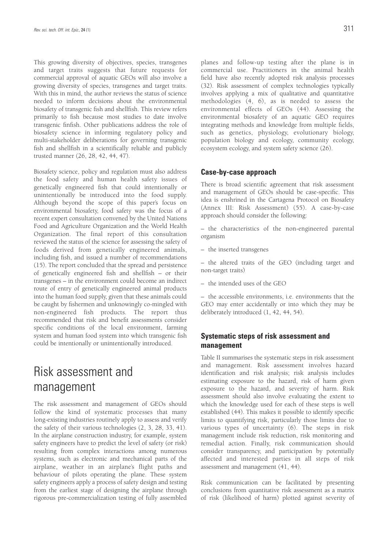This growing diversity of objectives, species, transgenes and target traits suggests that future requests for commercial approval of aquatic GEOs will also involve a growing diversity of species, transgenes and target traits. With this in mind, the author reviews the status of science needed to inform decisions about the environmental biosafety of transgenic fish and shellfish. This review refers primarily to fish because most studies to date involve transgenic finfish. Other publications address the role of biosafety science in informing regulatory policy and multi-stakeholder deliberations for governing transgenic fish and shellfish in a scientifically reliable and publicly trusted manner (26, 28, 42, 44, 47).

Biosafety science, policy and regulation must also address the food safety and human health safety issues of genetically engineered fish that could intentionally or unintentionally be introduced into the food supply. Although beyond the scope of this paper's focus on environmental biosafety, food safety was the focus of a recent expert consultation convened by the United Nations Food and Agriculture Organization and the World Health Organization. The final report of this consultation reviewed the status of the science for assessing the safety of foods derived from genetically engineered animals, including fish, and issued a number of recommendations (15). The report concluded that the spread and persistence of genetically engineered fish and shellfish – or their transgenes – in the environment could become an indirect route of entry of genetically engineered animal products into the human food supply, given that these animals could be caught by fishermen and unknowingly co-mingled with non-engineered fish products. The report thus recommended that risk and benefit assessments consider specific conditions of the local environment, farming system and human food system into which transgenic fish could be intentionally or unintentionally introduced.

## Risk assessment and management

The risk assessment and management of GEOs should follow the kind of systematic processes that many long-existing industries routinely apply to assess and verify the safety of their various technologies (2, 3, 28, 33, 41). In the airplane construction industry, for example, system safety engineers have to predict the level of safety (or risk) resulting from complex interactions among numerous systems, such as electronic and mechanical parts of the airplane, weather in an airplane's flight paths and behaviour of pilots operating the plane. These system safety engineers apply a process of safety design and testing from the earliest stage of designing the airplane through rigorous pre-commercialization testing of fully assembled planes and follow-up testing after the plane is in commercial use. Practitioners in the animal health field have also recently adopted risk analysis processes (32). Risk assessment of complex technologies typically involves applying a mix of qualitative and quantitative methodologies (4, 6), as is needed to assess the environmental effects of GEOs (44). Assessing the environmental biosafety of an aquatic GEO requires integrating methods and knowledge from multiple fields, such as genetics, physiology, evolutionary biology, population biology and ecology, community ecology, ecosystem ecology, and system safety science (26).

#### **Case-by-case approach**

There is broad scientific agreement that risk assessment and management of GEOs should be case-specific. This idea is enshrined in the Cartagena Protocol on Biosafety (Annex III: Risk Assessment) (55). A case-by-case approach should consider the following:

– the characteristics of the non-engineered parental organism

– the inserted transgenes

– the altered traits of the GEO (including target and non-target traits)

– the intended uses of the GEO

– the accessible environments, i.e. environments that the GEO may enter accidentally or into which they may be deliberately introduced (1, 42, 44, 54).

#### **Systematic steps of risk assessment and management**

Table II summarises the systematic steps in risk assessment and management. Risk assessment involves hazard identification and risk analysis; risk analysis includes estimating exposure to the hazard, risk of harm given exposure to the hazard, and severity of harm. Risk assessment should also involve evaluating the extent to which the knowledge used for each of these steps is well established (44). This makes it possible to identify specific limits to quantifying risk, particularly those limits due to various types of uncertainty (6). The steps in risk management include risk reduction, risk monitoring and remedial action. Finally, risk communication should consider transparency, and participation by potentially affected and interested parties in all steps of risk assessment and management (41, 44).

Risk communication can be facilitated by presenting conclusions from quantitative risk assessment as a matrix of risk (likelihood of harm) plotted against severity of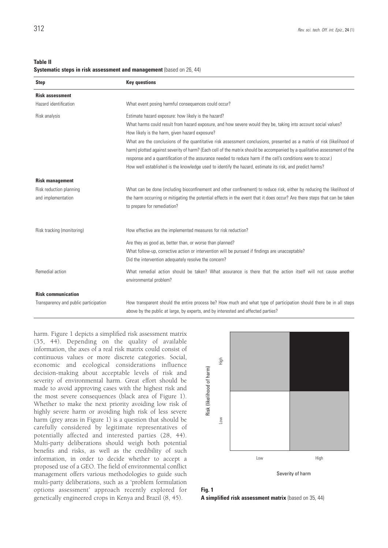**Table II**

#### **Systematic steps in risk assessment and management** (based on 26, 44)

| <b>Step</b>                           | <b>Key questions</b>                                                                                                                                                                                                                                                                                                                                                                                                                                                             |  |  |  |  |
|---------------------------------------|----------------------------------------------------------------------------------------------------------------------------------------------------------------------------------------------------------------------------------------------------------------------------------------------------------------------------------------------------------------------------------------------------------------------------------------------------------------------------------|--|--|--|--|
| <b>Risk assessment</b>                |                                                                                                                                                                                                                                                                                                                                                                                                                                                                                  |  |  |  |  |
| Hazard identification                 | What event posing harmful consequences could occur?                                                                                                                                                                                                                                                                                                                                                                                                                              |  |  |  |  |
| Risk analysis                         | Estimate hazard exposure: how likely is the hazard?                                                                                                                                                                                                                                                                                                                                                                                                                              |  |  |  |  |
|                                       | What harms could result from hazard exposure, and how severe would they be, taking into account social values?<br>How likely is the harm, given hazard exposure?                                                                                                                                                                                                                                                                                                                 |  |  |  |  |
|                                       | What are the conclusions of the quantitative risk assessment conclusions, presented as a matrix of risk (likelihood of<br>harm) plotted against severity of harm? (Each cell of the matrix should be accompanied by a qualitative assessment of the<br>response and a quantification of the assurance needed to reduce harm if the cell's conditions were to occur.)<br>How well established is the knowledge used to identify the hazard, estimate its risk, and predict harms? |  |  |  |  |
| <b>Risk management</b>                |                                                                                                                                                                                                                                                                                                                                                                                                                                                                                  |  |  |  |  |
| Risk reduction planning               | What can be done (including bioconfinement and other confinement) to reduce risk, either by reducing the likelihood of                                                                                                                                                                                                                                                                                                                                                           |  |  |  |  |
| and implementation                    | the harm occurring or mitigating the potential effects in the event that it does occur? Are there steps that can be taken<br>to prepare for remediation?                                                                                                                                                                                                                                                                                                                         |  |  |  |  |
| Risk tracking (monitoring)            | How effective are the implemented measures for risk reduction?                                                                                                                                                                                                                                                                                                                                                                                                                   |  |  |  |  |
|                                       | Are they as good as, better than, or worse than planned?<br>What follow-up, corrective action or intervention will be pursued if findings are unacceptable?<br>Did the intervention adequately resolve the concern?                                                                                                                                                                                                                                                              |  |  |  |  |
| Remedial action                       | What remedial action should be taken? What assurance is there that the action itself will not cause another<br>environmental problem?                                                                                                                                                                                                                                                                                                                                            |  |  |  |  |
| <b>Risk communication</b>             |                                                                                                                                                                                                                                                                                                                                                                                                                                                                                  |  |  |  |  |
| Transparency and public participation | How transparent should the entire process be? How much and what type of participation should there be in all steps<br>above by the public at large, by experts, and by interested and affected parties?                                                                                                                                                                                                                                                                          |  |  |  |  |

harm. Figure 1 depicts a simplified risk assessment matrix (35, 44). Depending on the quality of available information, the axes of a real risk matrix could consist of continuous values or more discrete categories. Social, economic and ecological considerations influence decision-making about acceptable levels of risk and severity of environmental harm. Great effort should be made to avoid approving cases with the highest risk and the most severe consequences (black area of Figure 1). Whether to make the next priority avoiding low risk of highly severe harm or avoiding high risk of less severe harm (grey areas in Figure 1) is a question that should be carefully considered by legitimate representatives of potentially affected and interested parties (28, 44). Multi-party deliberations should weigh both potential benefits and risks, as well as the credibility of such information, in order to decide whether to accept a proposed use of a GEO. The field of environmental conflict management offers various methodologies to guide such multi-party deliberations, such as a 'problem formulation options assessment' approach recently explored for genetically engineered crops in Kenya and Brazil (8, 45).



#### **Fig. 1 A simplified risk assessment matrix** (based on 35, 44)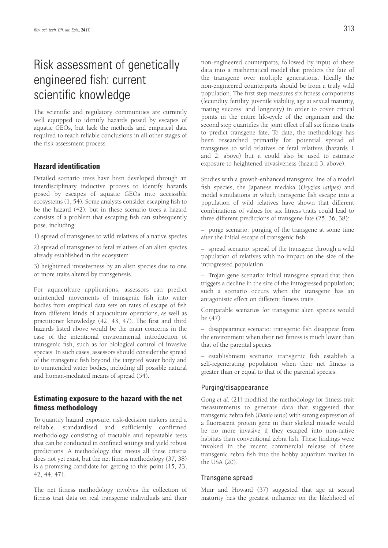## Risk assessment of genetically engineered fish: current scientific knowledge

The scientific and regulatory communities are currently well equipped to identify hazards posed by escapes of aquatic GEOs, but lack the methods and empirical data required to reach reliable conclusions in all other stages of the risk assessment process.

#### **Hazard identification**

Detailed scenario trees have been developed through an interdisciplinary inductive process to identify hazards posed by escapes of aquatic GEOs into accessible ecosystems (1, 54). Some analysts consider escaping fish to be the hazard (42); but in these scenario trees a hazard consists of a problem that escaping fish can subsequently pose, including:

1) spread of transgenes to wild relatives of a native species

2) spread of transgenes to feral relatives of an alien species already established in the ecosystem

3) heightened invasiveness by an alien species due to one or more traits altered by transgenesis.

For aquaculture applications, assessors can predict unintended movements of transgenic fish into water bodies from empirical data sets on rates of escape of fish from different kinds of aquaculture operations, as well as practitioner knowledge (42, 43, 47). The first and third hazards listed above would be the main concerns in the case of the intentional environmental introduction of transgenic fish, such as for biological control of invasive species. In such cases, assessors should consider the spread of the transgenic fish beyond the targeted water body and to unintended water bodies, including all possible natural and human-mediated means of spread (54).

#### **Estimating exposure to the hazard with the net fitness methodology**

To quantify hazard exposure, risk-decision makers need a reliable, standardised and sufficiently confirmed methodology consisting of tractable and repeatable tests that can be conducted in confined settings and yield robust predictions. A methodology that meets all these criteria does not yet exist, but the net fitness methodology (37, 38) is a promising candidate for getting to this point (15, 23, 42, 44, 47).

The net fitness methodology involves the collection of fitness trait data on real transgenic individuals and their non-engineered counterparts, followed by input of these data into a mathematical model that predicts the fate of the transgene over multiple generations. Ideally the non-engineered counterparts should be from a truly wild population. The first step measures six fitness components (fecundity, fertility, juvenile viability, age at sexual maturity, mating success, and longevity) in order to cover critical points in the entire life-cycle of the organism and the second step quantifies the joint effect of all six fitness traits to predict transgene fate. To date, the methodology has been researched primarily for potential spread of transgenes to wild relatives or feral relatives (hazards 1 and 2, above) but it could also be used to estimate exposure to heightened invasiveness (hazard 3, above).

Studies with a growth-enhanced transgenic line of a model fish species, the Japanese medaka (*Oryzias latipes*) and model simulations in which transgenic fish escape into a population of wild relatives have shown that different combinations of values for six fitness traits could lead to three different predictions of transgene fate (25, 36, 38):

– purge scenario: purging of the transgene at some time after the initial escape of transgenic fish

– spread scenario: spread of the transgene through a wild population of relatives with no impact on the size of the introgressed population

– Trojan gene scenario: initial transgene spread that then triggers a decline in the size of the introgressed population; such a scenario occurs when the transgene has an antagonistic effect on different fitness traits.

Comparable scenarios for transgenic alien species would be (47):

– disappearance scenario: transgenic fish disappear from the environment when their net fitness is much lower than that of the parental species

– establishment scenario: transgenic fish establish a self-regenerating population when their net fitness is greater than or equal to that of the parental species.

#### Purging/disappearance

Gong *et al.* (21) modified the methodology for fitness trait measurements to generate data that suggested that transgenic zebra fish (*Danio rerio*) with strong expression of a fluorescent protein gene in their skeletal muscle would be no more invasive if they escaped into non-native habitats than conventional zebra fish. These findings were invoked in the recent commercial release of these transgenic zebra fish into the hobby aquarium market in the USA (20).

#### Transgene spread

Muir and Howard (37) suggested that age at sexual maturity has the greatest influence on the likelihood of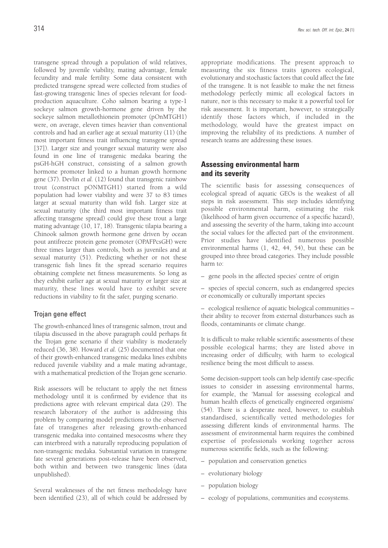transgene spread through a population of wild relatives, followed by juvenile viability, mating advantage, female fecundity and male fertility. Some data consistent with predicted transgene spread were collected from studies of fast-growing transgenic lines of species relevant for foodproduction aquaculture. Coho salmon bearing a type-1 sockeye salmon growth-hormone gene driven by the sockeye salmon metallothionein promoter (pOnMTGH1) were, on average, eleven times heavier than conventional controls and had an earlier age at sexual maturity (11) (the most important fitness trait influencing transgene spread [37]). Larger size and younger sexual maturity were also found in one line of transgenic medaka bearing the psGH-hGH construct, consisting of a salmon growth hormone promoter linked to a human growth hormone gene (37). Devlin *et al.* (12) found that transgenic rainbow trout (construct pONMTGH1) started from a wild population had lower viability and were 37 to 83 times larger at sexual maturity than wild fish. Larger size at sexual maturity (the third most important fitness trait affecting transgene spread) could give these trout a large mating advantage (10, 17, 18). Transgenic tilapia bearing a Chinook salmon growth hormone gene driven by ocean pout antifreeze protein gene promoter (OPAFPcsGH) were three times larger than controls, both as juveniles and at sexual maturity (51). Predicting whether or not these transgenic fish lines fit the spread scenario requires obtaining complete net fitness measurements. So long as they exhibit earlier age at sexual maturity or larger size at maturity, these lines would have to exhibit severe reductions in viability to fit the safer, purging scenario.

#### Trojan gene effect

The growth-enhanced lines of transgenic salmon, trout and tilapia discussed in the above paragraph could perhaps fit the Trojan gene scenario if their viability is moderately reduced (36, 38). Howard *et al.* (25) documented that one of their growth-enhanced transgenic medaka lines exhibits reduced juvenile viability and a male mating advantage, with a mathematical prediction of the Trojan gene scenario.

Risk assessors will be reluctant to apply the net fitness methodology until it is confirmed by evidence that its predictions agree with relevant empirical data (29). The research laboratory of the author is addressing this problem by comparing model predictions to the observed fate of transgenes after releasing growth-enhanced transgenic medaka into contained mesocosms where they can interbreed with a naturally reproducing population of non-transgenic medaka. Substantial variation in transgene fate several generations post-release have been observed, both within and between two transgenic lines (data unpublished).

Several weaknesses of the net fitness methodology have been identified (23), all of which could be addressed by appropriate modifications. The present approach to measuring the six fitness traits ignores ecological, evolutionary and stochastic factors that could affect the fate of the transgene. It is not feasible to make the net fitness methodology perfectly mimic all ecological factors in nature, nor is this necessary to make it a powerful tool for risk assessment. It is important, however, to strategically identify those factors which, if included in the methodology, would have the greatest impact on improving the reliability of its predictions. A number of research teams are addressing these issues.

#### **Assessing environmental harm and its severity**

The scientific basis for assessing consequences of ecological spread of aquatic GEOs is the weakest of all steps in risk assessment. This step includes identifying possible environmental harm, estimating the risk (likelihood of harm given occurrence of a specific hazard), and assessing the severity of the harm, taking into account the social values for the affected part of the environment. Prior studies have identified numerous possible environmental harms (1, 42, 44, 54), but these can be grouped into three broad categories. They include possible harm to:

– gene pools in the affected species' centre of origin

– species of special concern, such as endangered species or economically or culturally important species

– ecological resilience of aquatic biological communities – their ability to recover from external disturbances such as floods, contaminants or climate change.

It is difficult to make reliable scientific assessments of these possible ecological harms; they are listed above in increasing order of difficulty, with harm to ecological resilience being the most difficult to assess.

Some decision-support tools can help identify case-specific issues to consider in assessing environmental harms, for example, the 'Manual for assessing ecological and human health effects of genetically engineered organisms' (54). There is a desperate need, however, to establish standardised, scientifically vetted methodologies for assessing different kinds of environmental harms. The assessment of environmental harm requires the combined expertise of professionals working together across numerous scientific fields, such as the following:

- population and conservation genetics
- evolutionary biology
- population biology
- ecology of populations, communities and ecosystems.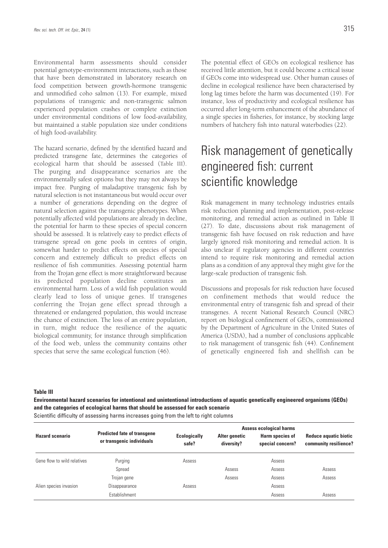Environmental harm assessments should consider potential genotype-environment interactions, such as those that have been demonstrated in laboratory research on food competition between growth-hormone transgenic and unmodified coho salmon (13). For example, mixed populations of transgenic and non-transgenic salmon experienced population crashes or complete extinction under environmental conditions of low food-availability, but maintained a stable population size under conditions of high food-availability.

The hazard scenario, defined by the identified hazard and predicted transgene fate, determines the categories of ecological harm that should be assessed (Table III). The purging and disappearance scenarios are the environmentally safest options but they may not always be impact free. Purging of maladaptive transgenic fish by natural selection is not instantaneous but would occur over a number of generations depending on the degree of natural selection against the transgenic phenotypes. When potentially affected wild populations are already in decline, the potential for harm to these species of special concern should be assessed. It is relatively easy to predict effects of transgene spread on gene pools in centres of origin, somewhat harder to predict effects on species of special concern and extremely difficult to predict effects on resilience of fish communities. Assessing potential harm from the Trojan gene effect is more straightforward because its predicted population decline constitutes an environmental harm. Loss of a wild fish population would clearly lead to loss of unique genes. If transgenes conferring the Trojan gene effect spread through a threatened or endangered population, this would increase the chance of extinction. The loss of an entire population, in turn, might reduce the resilience of the aquatic biological community, for instance through simplification of the food web, unless the community contains other species that serve the same ecological function (46).

The potential effect of GEOs on ecological resilience has received little attention, but it could become a critical issue if GEOs come into widespread use. Other human causes of decline in ecological resilience have been characterised by long lag times before the harm was documented (19). For instance, loss of productivity and ecological resilience has occurred after long-term enhancement of the abundance of a single species in fisheries, for instance, by stocking large numbers of hatchery fish into natural waterbodies (22).

## Risk management of genetically engineered fish: current scientific knowledge

Risk management in many technology industries entails risk reduction planning and implementation, post-release monitoring, and remedial action as outlined in Table II (27). To date, discussions about risk management of transgenic fish have focused on risk reduction and have largely ignored risk monitoring and remedial action. It is also unclear if regulatory agencies in different countries intend to require risk monitoring and remedial action plans as a condition of any approval they might give for the large-scale production of transgenic fish.

Discussions and proposals for risk reduction have focused on confinement methods that would reduce the environmental entry of transgenic fish and spread of their transgenes. A recent National Research Council (NRC) report on biological confinement of GEOs, commissioned by the Department of Agriculture in the United States of America (USDA), had a number of conclusions applicable to risk management of transgenic fish (44). Confinement of genetically engineered fish and shellfish can be

**Table III**

**Environmental hazard scenarios for intentional and unintentional introductions of aquatic genetically engineered organisms (GEOs) and the categories of ecological harms that should be assessed for each scenario** Scientific difficulty of assessing harms increases going from the left to right columns

|                             | <b>Predicted fate of transgene</b><br>or transgenic individuals | <b>Assess ecological harms</b> |                             |                                     |                                                       |
|-----------------------------|-----------------------------------------------------------------|--------------------------------|-----------------------------|-------------------------------------|-------------------------------------------------------|
| <b>Hazard scenario</b>      |                                                                 | <b>Ecologically</b><br>safe?   | Alter genetic<br>diversity? | Harm species of<br>special concern? | <b>Reduce aquatic biotic</b><br>community resilience? |
| Gene flow to wild relatives | Purging                                                         | Assess                         |                             | Assess                              |                                                       |
|                             | Spread                                                          |                                | Assess                      | Assess                              | Assess                                                |
|                             | Trojan gene                                                     |                                | Assess                      | Assess                              | Assess                                                |
| Alien species invasion      | Disappearance                                                   | Assess                         |                             | Assess                              |                                                       |
|                             | Establishment                                                   |                                |                             | Assess                              | Assess                                                |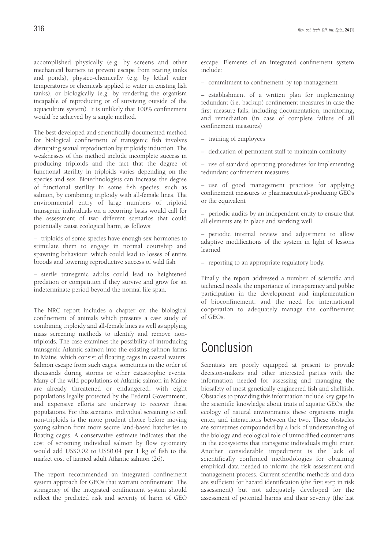accomplished physically (e.g. by screens and other mechanical barriers to prevent escape from rearing tanks and ponds), physico-chemically (e.g. by lethal water temperatures or chemicals applied to water in existing fish tanks), or biologically (e.g. by rendering the organism incapable of reproducing or of surviving outside of the aquaculture system). It is unlikely that 100% confinement would be achieved by a single method.

The best developed and scientifically documented method for biological confinement of transgenic fish involves disrupting sexual reproduction by triploidy induction. The weaknesses of this method include incomplete success in producing triploids and the fact that the degree of functional sterility in triploids varies depending on the species and sex. Biotechnologists can increase the degree of functional sterility in some fish species, such as salmon, by combining triploidy with all-female lines. The environmental entry of large numbers of triploid transgenic individuals on a recurring basis would call for the assessment of two different scenarios that could potentially cause ecological harm, as follows:

– triploids of some species have enough sex hormones to stimulate them to engage in normal courtship and spawning behaviour, which could lead to losses of entire broods and lowering reproductive success of wild fish

– sterile transgenic adults could lead to heightened predation or competition if they survive and grow for an indeterminate period beyond the normal life span.

The NRC report includes a chapter on the biological confinement of animals which presents a case study of combining triploidy and all-female lines as well as applying mass screening methods to identify and remove nontriploids. The case examines the possibility of introducing transgenic Atlantic salmon into the existing salmon farms in Maine, which consist of floating cages in coastal waters. Salmon escape from such cages, sometimes in the order of thousands during storms or other catastrophic events. Many of the wild populations of Atlantic salmon in Maine are already threatened or endangered, with eight populations legally protected by the Federal Government, and expensive efforts are underway to recover these populations. For this scenario, individual screening to cull non-triploids is the more prudent choice before moving young salmon from more secure land-based hatcheries to floating cages. A conservative estimate indicates that the cost of screening individual salmon by flow cytometry would add US\$0.02 to US\$0.04 per 1 kg of fish to the market cost of farmed adult Atlantic salmon (26).

The report recommended an integrated confinement system approach for GEOs that warrant confinement. The stringency of the integrated confinement system should reflect the predicted risk and severity of harm of GEO escape. Elements of an integrated confinement system include:

– commitment to confinement by top management

– establishment of a written plan for implementing redundant (i.e. backup) confinement measures in case the first measure fails, including documentation, monitoring, and remediation (in case of complete failure of all confinement measures)

- training of employees
- dedication of permanent staff to maintain continuity

– use of standard operating procedures for implementing redundant confinement measures

– use of good management practices for applying confinement measures to pharmaceutical-producing GEOs or the equivalent

– periodic audits by an independent entity to ensure that all elements are in place and working well

– periodic internal review and adjustment to allow adaptive modifications of the system in light of lessons learned

– reporting to an appropriate regulatory body.

Finally, the report addressed a number of scientific and technical needs, the importance of transparency and public participation in the development and implementation of bioconfinement, and the need for international cooperation to adequately manage the confinement of GEOs.

## Conclusion

Scientists are poorly equipped at present to provide decision-makers and other interested parties with the information needed for assessing and managing the biosafety of most genetically engineered fish and shellfish. Obstacles to providing this information include key gaps in the scientific knowledge about traits of aquatic GEOs, the ecology of natural environments these organisms might enter, and interactions between the two. These obstacles are sometimes compounded by a lack of understanding of the biology and ecological role of unmodified counterparts in the ecosystems that transgenic individuals might enter. Another considerable impediment is the lack of scientifically confirmed methodologies for obtaining empirical data needed to inform the risk assessment and management process. Current scientific methods and data are sufficient for hazard identification (the first step in risk assessment) but not adequately developed for the assessment of potential harms and their severity (the last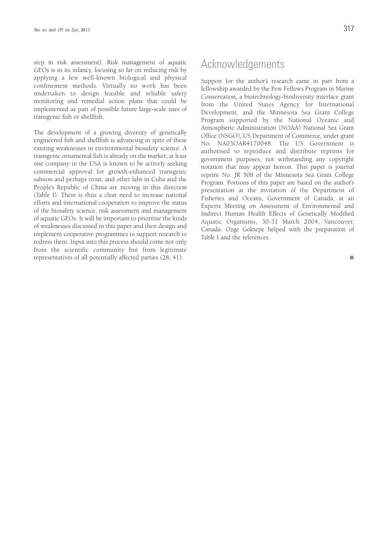step in risk assessment). Risk management of aquatic GEOs is in its infancy, focusing so far on reducing risk by applying a few well-known biological and physical confinement methods. Virtually no work has been undertaken to design feasible and reliable safety monitoring and remedial action plans that could be implemented as part of possible future large-scale uses of transgenic fish or shellfish.

The development of a growing diversity of genetically engineered fish and shellfish is advancing in spite of these existing weaknesses in environmental biosafety science. A transgenic ornamental fish is already on the market; at least one company in the USA is known to be actively seeking commercial approval for growth-enhanced transgenic salmon and perhaps trout; and other labs in Cuba and the People's Republic of China are moving in this direction (Table I). There is thus a clear need to increase national efforts and international cooperation to improve the status of the biosafety science, risk assessment and management of aquatic GEOs. It will be important to prioritise the kinds of weaknesses discussed in this paper and then design and implement cooperative programmes to support research to redress them. Input into this process should come not only from the scientific community but from legitimate representatives of all potentially affected parties (28, 41).

### Acknowledgements

Support for the author's research came in part from a fellowship awarded by the Pew Fellows Program in Marine Conservation, a biotechnology-biodiversity interface grant from the United States Agency for International Development, and the Minnesota Sea Grant College Program supported by the National Oceanic and Atmospheric Administration (NOAA) National Sea Grant Office (NSGO), US Department of Commerce, under grant No. NA03OAR4170048. The US Government is authorised to reproduce and distribute reprints for government purposes, not withstanding any copyright notation that may appear hereon. This paper is journal reprint No. JR 508 of the Minnesota Sea Grant College Program. Portions of this paper are based on the author's presentation at the invitation of the Department of Fisheries and Oceans, Government of Canada, at an Experts Meeting on Assessment of Environmental and Indirect Human Health Effects of Genetically Modified Aquatic Organisms, 30-31 March 2004, Vancouver, Canada. Ozge Goktepe helped with the preparation of Table I and the references.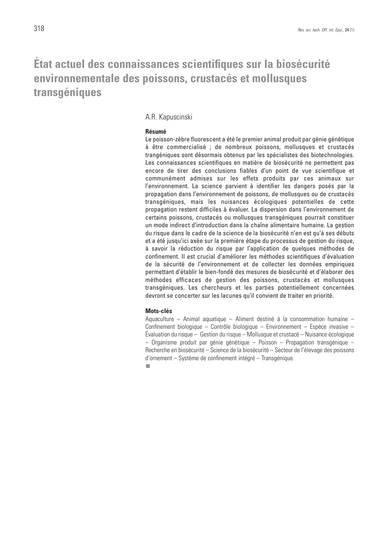## **État actuel des connaissances scientifiques sur la biosécurité environnementale des poissons, crustacés et mollusques transgéniques**

#### A.R. Kapuscinski

#### **Résumé**

Le poisson-zèbre fluorescent a été le premier animal produit par génie génétique à être commercialisé ; de nombreux poissons, mollusques et crustacés trangéniques sont désormais obtenus par les spécialistes des biotechnologies. Les connaissances scientifiques en matière de biosécurité ne permettent pas encore de tirer des conclusions fiables d'un point de vue scientifique et communément admises sur les effets produits par ces animaux sur l'environnement. La science parvient à identifier les dangers posés par la propagation dans l'environnement de poissons, de mollusques ou de crustacés transgéniques, mais les nuisances écologiques potentielles de cette propagation restent difficiles à évaluer. La dispersion dans l'environnement de certains poissons, crustacés ou mollusques transgéniques pourrait constituer un mode indirect d'introduction dans la chaîne alimentaire humaine. La gestion du risque dans le cadre de la science de la biosécurité n'en est qu'à ses débuts et a été jusqu'ici axée sur la première étape du processus de gestion du risque, à savoir la réduction du risque par l'application de quelques méthodes de confinement. Il est crucial d'améliorer les méthodes scientifiques d'évaluation de la sécurité de l'environnement et de collecter les données empiriques permettant d'établir le bien-fondé des mesures de biosécurité et d'élaborer des méthodes efficaces de gestion des poissons, crustacés et mollusques transgéniques. Les chercheurs et les parties potentiellement concernées devront se concerter sur les lacunes qu'il convient de traiter en priorité.

#### **Mots-clés**

Aquaculture – Animal aquatique – Aliment destiné à la consommation humaine – Confinement biologique – Contrôle biologique – Environnement – Espèce invasive – Évaluation du risque – Gestion du risque – Mollusque et crustacé – Nuisance écologique  $-$  Organisme produit par génie génétique – Poisson – Propagation transgénique – Recherche en biosécurité – Science de la biosécurité – Secteur de l'élevage des poissons d'ornement – Système de confinement intégré – Transgénique.

n.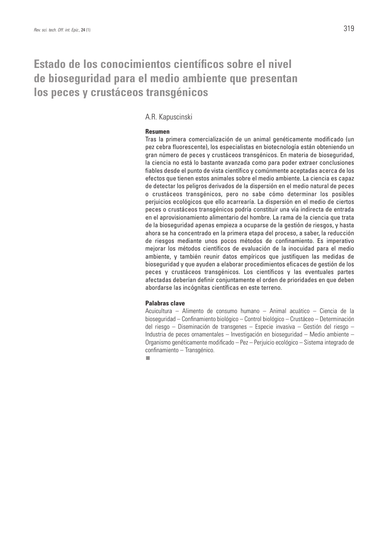## **Estado de los conocimientos científicos sobre el nivel de bioseguridad para el medio ambiente que presentan los peces y crustáceos transgénicos**

#### A.R. Kapuscinski

#### **Resumen**

Tras la primera comercialización de un animal genéticamente modificado (un pez cebra fluorescente), los especialistas en biotecnología están obteniendo un gran número de peces y crustáceos transgénicos. En materia de bioseguridad, la ciencia no está lo bastante avanzada como para poder extraer conclusiones fiables desde el punto de vista científico y comúnmente aceptadas acerca de los efectos que tienen estos animales sobre el medio ambiente. La ciencia es capaz de detectar los peligros derivados de la dispersión en el medio natural de peces o crustáceos transgénicos, pero no sabe cómo determinar los posibles perjuicios ecológicos que ello acarrearía. La dispersión en el medio de ciertos peces o crustáceos transgénicos podría constituir una vía indirecta de entrada en el aprovisionamiento alimentario del hombre. La rama de la ciencia que trata de la bioseguridad apenas empieza a ocuparse de la gestión de riesgos, y hasta ahora se ha concentrado en la primera etapa del proceso, a saber, la reducción de riesgos mediante unos pocos métodos de confinamiento. Es imperativo mejorar los métodos científicos de evaluación de la inocuidad para el medio ambiente, y también reunir datos empíricos que justifiquen las medidas de bioseguridad y que ayuden a elaborar procedimientos eficaces de gestión de los peces y crustáceos transgénicos. Los científicos y las eventuales partes afectadas deberían definir conjuntamente el orden de prioridades en que deben abordarse las incógnitas científicas en este terreno.

#### **Palabras clave**

Acuicultura – Alimento de consumo humano – Animal acuático – Ciencia de la bioseguridad – Confinamiento biológico – Control biológico – Crustáceo – Determinación del riesgo – Diseminación de transgenes – Especie invasiva – Gestión del riesgo – Industria de peces ornamentales – Investigación en bioseguridad – Medio ambiente – Organismo genéticamente modificado – Pez – Perjuicio ecológico – Sistema integrado de confinamiento – Transgénico.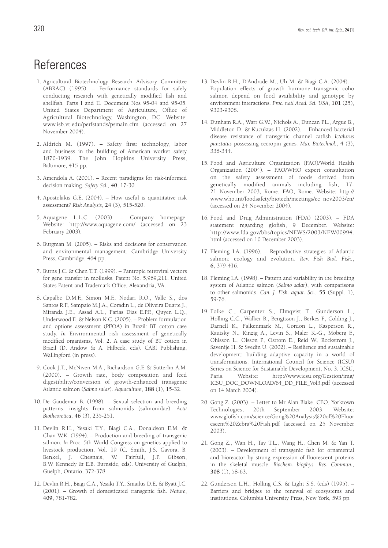- 1. Agricultural Biotechnology Research Advisory Committee (ABRAC) (1995). – Performance standards for safely conducting research with genetically modified fish and shellfish. Parts I and II. Document Nos 95-04 and 95-05. United States Department of Agriculture, Office of Agricultural Biotechnology, Washington, DC. Website: www.isb.vt.edu/perfstands/psmain.cfm (accessed on 27 November 2004).
- 2. Aldrich M. (1997). Safety first: technology, labor and business in the building of American worker safety 1870-1939. The John Hopkins University Press, Baltimore, 415 pp.
- 3. Amendola A. (2001). Recent paradigms for risk-informed decision making. *Safety Sci.*, **40**, 17-30.
- 4. Apostolakis G.E. (2004). How useful is quantitative risk assessment? *Risk Analysis*, **24** (3), 515-520.
- 5. Aquagene L.L.C. (2003). Company homepage. Website: http://www.aquagene.com/ (accessed on 23 February 2003).
- 6. Burgman M. (2005). Risks and decisions for conservation and environmental management. Cambridge University Press, Cambridge, 464 pp.
- 7. Burns J.C. & Chen T.T. (1999). Pantropic retroviral vectors for gene transfer in mollusks. Patent No. 5,969,211. United States Patent and Trademark Office, Alexandria, VA.
- 8. Capalbo D.M.F., Simon M.F., Nodari R.O., Valle S., dos Santos R.F., Sampaio M.J.A., Coradin L., de Oliveira Duarte J., Miranda J.E., Assad A.L., Farias Dias E.P.F., Quyen L.Q., Underwood E. & Nelson K.C. (2005). – Problem formulation and options assessment (PFOA) in Brazil: BT cotton case study. *In* Environmental risk assessment of genetically modified organisms, Vol. 2. A case study of BT cotton in Brazil (D. Andow & A. Hilbeck, eds). CABI Publishing, Wallingford (in press).
- 9. Cook J.T., McNiven M.A., Richardson G.F. & Sutterlin A.M. (2000). – Growth rate, body composition and feed digestibility/conversion of growth-enhanced transgenic Atlantic salmon (*Salmo salar*). *Aquaculture*, **188** (1), 15-32.
- 10. De Gaudemar B. (1998). Sexual selection and breeding patterns: insights from salmonids (salmonidae). *Acta Biotheoretica*, **46** (3), 235-251.
- 11. Devlin R.H., Yesaki T.Y., Biagi C.A., Donaldson E.M. & Chan W.K. (1994). – Production and breeding of transgenic salmon. *In* Proc. 5th World Congress on genetics applied to livestock production, Vol. 19 (C. Smith, J.S. Gavora, B. Benkel, J. Chesnais, W. Fairfull, J.P. Gibson, B.W. Kennedy & E.B. Burnside, eds). University of Guelph, Guelph, Ontario, 372-378.
- 12. Devlin R.H., Biagi C.A., Yesaki T.Y., Smailus D.E. & Byatt J.C. (2001). – Growth of domesticated transgenic fish. *Nature*, **409**, 781-782.
- 13. Devlin R.H., D'Andrade M., Uh M. & Biagi C.A. (2004). Population effects of growth hormone transgenic coho salmon depend on food availability and genotype by environment interactions. *Proc. natl Acad. Sci. USA*, **101** (25), 9303-9308.
- 14. Dunham R.A., Warr G.W., Nichols A., Duncan P.L., Argue B., Middleton D. & Kucuktas H. (2002). – Enhanced bacterial disease resistance of transgenic channel catfish *Ictalurus punctatus* possessing cecropin genes. *Mar. Biotechnol.*, **4** (3), 338-344.
- 15. Food and Agriculture Organization (FAO)/World Health Organization (2004). – FAO/WHO expert consultation on the safety assessment of foods derived from genetically modified animals including fish, 17- 21 November 2003, Rome. FAO, Rome. Website: http:// www.who.int/foodsafety/biotech/meetings/ec\_nov2003/en/ (accessed on 24 November 2004).
- 16. Food and Drug Administration (FDA) (2003). FDA statement regarding glofish, 9 December. Website: http://www.fda.gov/bbs/topics/NEWS/2003/NEW00994. html (accessed on 10 December 2003).
- 17. Fleming I.A. (1996). Reproductive strategies of Atlantic salmon: ecology and evolution. *Rev. Fish Biol. Fish.*, **6**, 379-416.
- 18. Fleming I.A. (1998). Pattern and variability in the breeding system of Atlantic salmon (*Salmo salar*), with comparisons to other salmonids. *Can. J. Fish. aquat. Sci.*, **55** (Suppl. 1), 59-76.
- 19. Folke C., Carpenter S., Elmqvist T., Gunderson L., Holling C.C., Walker B., Bengtsson J., Berkes F., Colding J., Darnell K., Falkenmark M., Gordon L., Kasperson R., Kautsky N., Kinzig A., Levin S., Maler K.-G., Moberg F., Ohlsson L., Olsson P., Ostrom E., Reid W., Rockstrom J., Savenije H. & Svedin U. (2002). – Resilience and sustainable development: building adaptive capacity in a world of transformations. International Council for Science (ICSU) Series on Science for Sustainable Development, No. 3. ICSU, Paris. Website: http://www.icsu.org/Gestion/img/ ICSU\_DOC\_DOWNLOAD/64\_DD\_FILE\_Vol3.pdf (accessed on 14 March 2004).
- 20. Gong Z. (2003). Letter to Mr Alan Blake, CEO, Yorktown Technologies, 20th September 2003. Website: www.glofish.com/science/Gong%20Analysis%20of%20Fluor escent%20Zebra%20Fish.pdf (accessed on 25 November 2003).
- 21. Gong Z., Wan H., Tay T.L., Wang H., Chen M. & Yan T. (2003). – Development of transgenic fish for ornamental and bioreactor by strong expression of fluorescent proteins in the skeletal muscle. *Biochem. biophys. Res. Commun.*, **308** (1), 58-63.
- 22. Gunderson L.H., Holling C.S. & Light S.S. (eds) (1995). Barriers and bridges to the renewal of ecosystems and institutions. Columbia University Press, New York, 593 pp.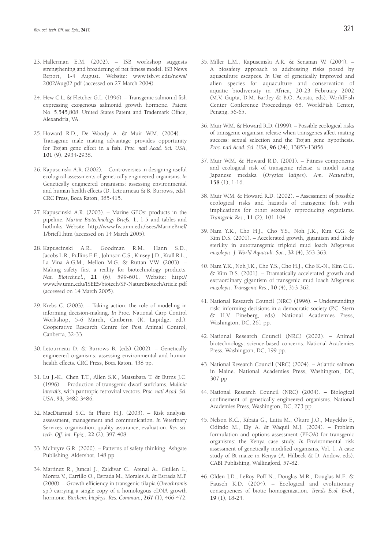- 23. Hallerman E.M. (2002). ISB workshop suggests strengthening and broadening of net fitness model. ISB News Report, 1-4 August. Website: www.isb.vt.edu/news/ 2002/Aug02.pdf (accessed on 27 March 2004).
- 24. Hew C.L. & Fletcher G.L. (1996). Transgenic salmonid fish expressing exogenous salmonid growth hormone. Patent No. 5,545,808. United States Patent and Trademark Office, Alexandria, VA.
- 25. Howard R.D., De Woody A. & Muir W.M. (2004). Transgenic male mating advantage provides opportunity for Trojan gene effect in a fish. *Proc. natl Acad. Sci. USA*, **101** (9), 2934-2938.
- 26. Kapuscinski A.R. (2002). Controversies in designing useful ecological assessments of genetically engineered organisms. *In* Genetically engineered organisms: assessing environmental and human health effects (D. Letourneau & B. Burrows, eds). CRC Press, Boca Raton, 385-415.
- 27. Kapuscinski A.R. (2003). Marine GEOs: products in the pipeline. *Marine Biotechnology Briefs*, **1**, 1-5 and tables and hotlinks. Website: http://www.fw.umn.edu/isees/MarineBrief/ 1/brief1.htm (accessed on 14 March 2005).
- 28. Kapuscinski A.R., Goodman R.M., Hann S.D., Jacobs L.R., Pullins E.E., Johnson C.S., Kinsey J.D., Krall R.L., La Viña A.G.M., Mellon M.G. & Ruttan V.W. (2003). – Making safety first a reality for biotechnology products. *Nat. Biotechnol.*, **21** (6), 599-601. Website: http:// www.fw.umn.edu/ISEES/biotech/SF-NatureBiotechArticle.pdf (accessed on 14 March 2005).
- 29. Krebs C. (2003). Taking action: the role of modeling in informing decision-making. *In* Proc. National Carp Control Workshop, 5-6 March, Canberra (K. Lapidge, ed.). Cooperative Research Centre for Pest Animal Control, Canberra, 32-33.
- 30. Letourneau D. & Burrows B. (eds) (2002). Genetically engineered organisms: assessing environmental and human health effects. CRC Press, Boca Raton, 438 pp.
- 31. Lu J.-K., Chen T.T., Allen S.K., Matsubara T. & Burns J.C. (1996). – Production of transgenic dwarf surfclams, *Mulinia lateralis*, with pantropic retroviral vectors. *Proc. natl Acad. Sci. USA*, **93**, 3482-3486.
- 32. MacDiarmid S.C. & Pharo H.J. (2003). Risk analysis: assessment, management and communication. *In* Veterinary Services: organisation, quality assurance, evaluation. *Rev. sci. tech. Off. int. Epiz.*, **22** (2), 397-408.
- 33. McIntyre G.R. (2000). Patterns of safety thinking. Ashgate Publishing, Aldershot, 148 pp.
- 34. Martinez R., Juncal J., Zaldivar C., Arenal A., Guillen I., Morera V., Carrillo O., Estrada M., Morales A. & Estrada M.P. (2000). – Growth efficiency in transgenic tilapia (*Oreochromis* sp.) carrying a single copy of a homologous cDNA growth hormone. *Biochem. biophys. Res. Commun.*, **267** (1), 466-472.
- 35. Miller L.M., Kapuscinski A.R. & Senanan W. (2004). A biosafety approach to addressing risks posed by aquaculture escapees. *In* Use of genetically improved and alien species for aquaculture and conservation of aquatic biodiversity in Africa, 20-23 February 2002 (M.V. Gupta, D.M. Bartley & B.O. Acosta, eds). WorldFish Center Conference Proceedings 68. WorldFish Center, Penang, 56-65.
- 36. Muir W.M. & Howard R.D. (1999). Possible ecological risks of transgenic organism release when transgenes affect mating success: sexual selection and the Trojan gene hypothesis. *Proc. natl Acad. Sci. USA*, **96** (24), 13853-13856.
- 37. Muir W.M. & Howard R.D. (2001). Fitness components and ecological risk of transgenic release: a model using Japanese medaka (*Oryzias latipes*). *Am. Naturalist*, **158** (1), 1-16.
- 38. Muir W.M. & Howard R.D. (2002). Assessment of possible ecological risks and hazards of transgenic fish with implications for other sexually reproducing organisms. *Transgenic Res.*, **11** (2), 101-104.
- 39. Nam Y.K., Cho H.J., Cho Y.S., Noh J.K., Kim C.G. & Kim D.S. (2001). – Accelerated growth, gigantism and likely sterility in autotransgenic triploid mud loach *Misgurnus mizolepis. J. World Aquacult. Soc.*, **32** (4), 353-363.
- 40. Nam Y.K., Noh J.K., Cho Y.S., Cho H.J., Cho K.-N., Kim C.G. & Kim D.S. (2001). – Dramatically accelerated growth and extraordinary gigantism of transgenic mud loach *Misgurnus mizolepis*. *Transgenic Res.*, **10** (4), 353-362.
- 41. National Research Council (NRC) (1996). Understanding risk: informing decisions in a democratic society (P.C. Stern & H.V. Fineberg, eds). National Academies Press, Washington, DC, 261 pp.
- 42. National Research Council (NRC) (2002). Animal biotechnology: science-based concerns. National Academies Press, Washington, DC, 199 pp.
- 43. National Research Council (NRC) (2004). Atlantic salmon in Maine. National Academies Press, Washington, DC, 307 pp.
- 44. National Research Council (NRC) (2004). Biological confinement of genetically engineered organisms. National Academies Press, Washington, DC, 273 pp.
- 45. Nelson K.C., Kibata G., Lutta M., Okuro J.O., Muyekho F., Odindo M., Ely A. & Waquil M.J. (2004). – Problem formulation and options assessment (PFOA) for transgenic organisms: the Kenya case study. *In* Environmental risk assessment of genetically modified organisms, Vol. 1. A case study of Bt maize in Kenya (A. Hilbeck & D. Andow, eds). CABI Publishing, Wallingford, 57-82.
- 46. Olden J.D., LeRoy Poff N., Douglas M.R., Douglas M.E. & Fausch K.D. (2004). – Ecological and evolutionary consequences of biotic homogenization. *Trends Ecol. Evol.*, **19** (1), 18-24.